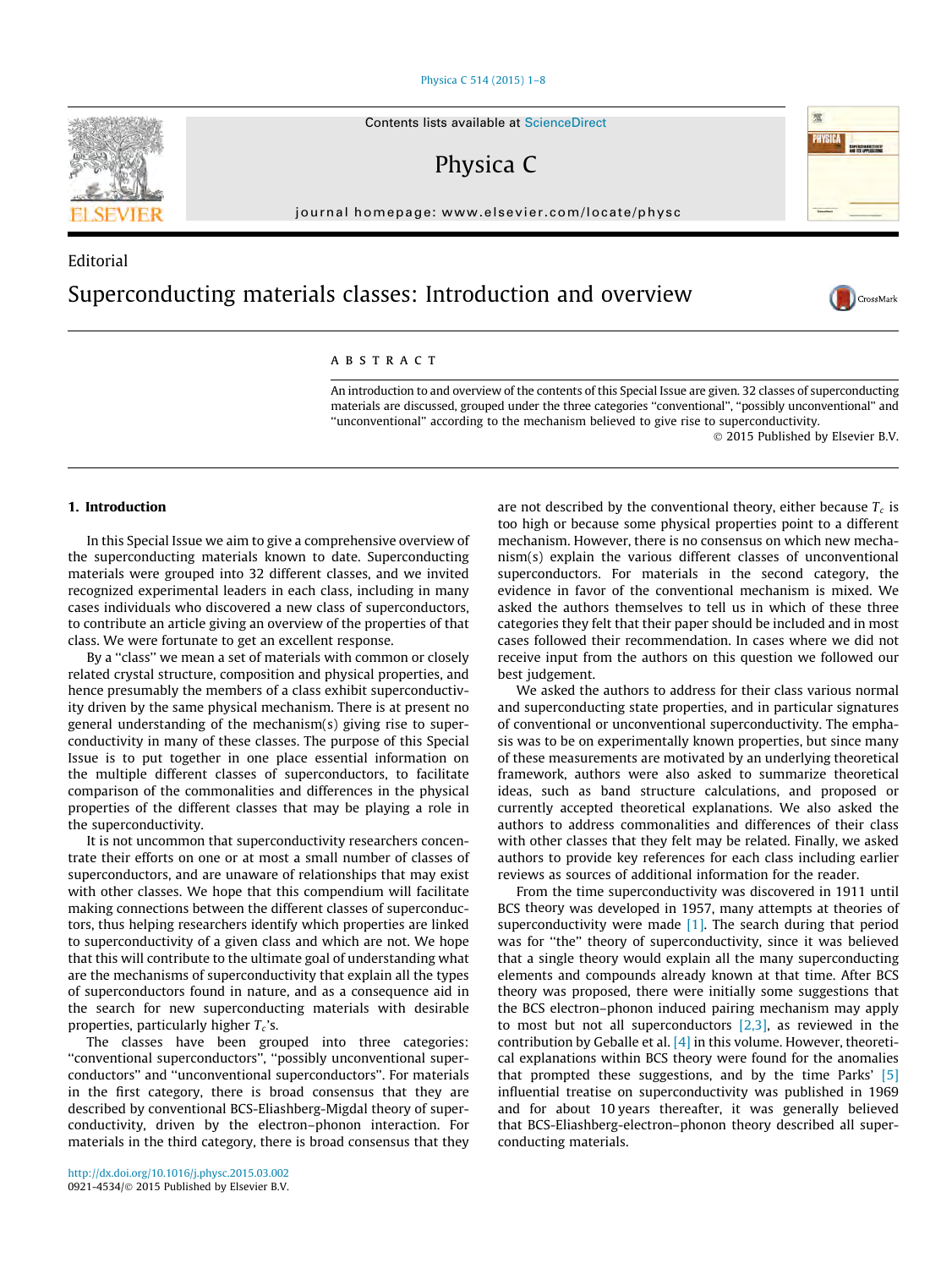#### [Physica C 514 \(2015\) 1–8](http://dx.doi.org/10.1016/j.physc.2015.03.002)

Contents lists available at [ScienceDirect](http://www.sciencedirect.com/science/journal/09214534)

Physica C

journal homepage: [www.elsevier.com/locate/physc](http://www.elsevier.com/locate/physc)

# Editorial Superconducting materials classes: Introduction and overview

## ARSTRACT

An introduction to and overview of the contents of this Special Issue are given. 32 classes of superconducting materials are discussed, grouped under the three categories ''conventional'', ''possibly unconventional'' and ''unconventional'' according to the mechanism believed to give rise to superconductivity. © 2015 Published by Elsevier B.V.

## 1. Introduction

In this Special Issue we aim to give a comprehensive overview of the superconducting materials known to date. Superconducting materials were grouped into 32 different classes, and we invited recognized experimental leaders in each class, including in many cases individuals who discovered a new class of superconductors, to contribute an article giving an overview of the properties of that class. We were fortunate to get an excellent response.

By a ''class'' we mean a set of materials with common or closely related crystal structure, composition and physical properties, and hence presumably the members of a class exhibit superconductivity driven by the same physical mechanism. There is at present no general understanding of the mechanism(s) giving rise to superconductivity in many of these classes. The purpose of this Special Issue is to put together in one place essential information on the multiple different classes of superconductors, to facilitate comparison of the commonalities and differences in the physical properties of the different classes that may be playing a role in the superconductivity.

It is not uncommon that superconductivity researchers concentrate their efforts on one or at most a small number of classes of superconductors, and are unaware of relationships that may exist with other classes. We hope that this compendium will facilitate making connections between the different classes of superconductors, thus helping researchers identify which properties are linked to superconductivity of a given class and which are not. We hope that this will contribute to the ultimate goal of understanding what are the mechanisms of superconductivity that explain all the types of superconductors found in nature, and as a consequence aid in the search for new superconducting materials with desirable properties, particularly higher  $T_c$ 's.

The classes have been grouped into three categories: ''conventional superconductors'', ''possibly unconventional superconductors'' and ''unconventional superconductors''. For materials in the first category, there is broad consensus that they are described by conventional BCS-Eliashberg-Migdal theory of superconductivity, driven by the electron–phonon interaction. For materials in the third category, there is broad consensus that they

are not described by the conventional theory, either because  $T_c$  is too high or because some physical properties point to a different mechanism. However, there is no consensus on which new mechanism(s) explain the various different classes of unconventional superconductors. For materials in the second category, the evidence in favor of the conventional mechanism is mixed. We asked the authors themselves to tell us in which of these three categories they felt that their paper should be included and in most cases followed their recommendation. In cases where we did not receive input from the authors on this question we followed our best judgement.

We asked the authors to address for their class various normal and superconducting state properties, and in particular signatures of conventional or unconventional superconductivity. The emphasis was to be on experimentally known properties, but since many of these measurements are motivated by an underlying theoretical framework, authors were also asked to summarize theoretical ideas, such as band structure calculations, and proposed or currently accepted theoretical explanations. We also asked the authors to address commonalities and differences of their class with other classes that they felt may be related. Finally, we asked authors to provide key references for each class including earlier reviews as sources of additional information for the reader.

From the time superconductivity was discovered in 1911 until BCS theory was developed in 1957, many attempts at theories of superconductivity were made  $[1]$ . The search during that period was for ''the'' theory of superconductivity, since it was believed that a single theory would explain all the many superconducting elements and compounds already known at that time. After BCS theory was proposed, there were initially some suggestions that the BCS electron–phonon induced pairing mechanism may apply to most but not all superconductors  $[2,3]$ , as reviewed in the contribution by Geballe et al.  $[4]$  in this volume. However, theoretical explanations within BCS theory were found for the anomalies that prompted these suggestions, and by the time Parks' [\[5\]](#page-6-0) influential treatise on superconductivity was published in 1969 and for about 10 years thereafter, it was generally believed that BCS-Eliashberg-electron–phonon theory described all superconducting materials.





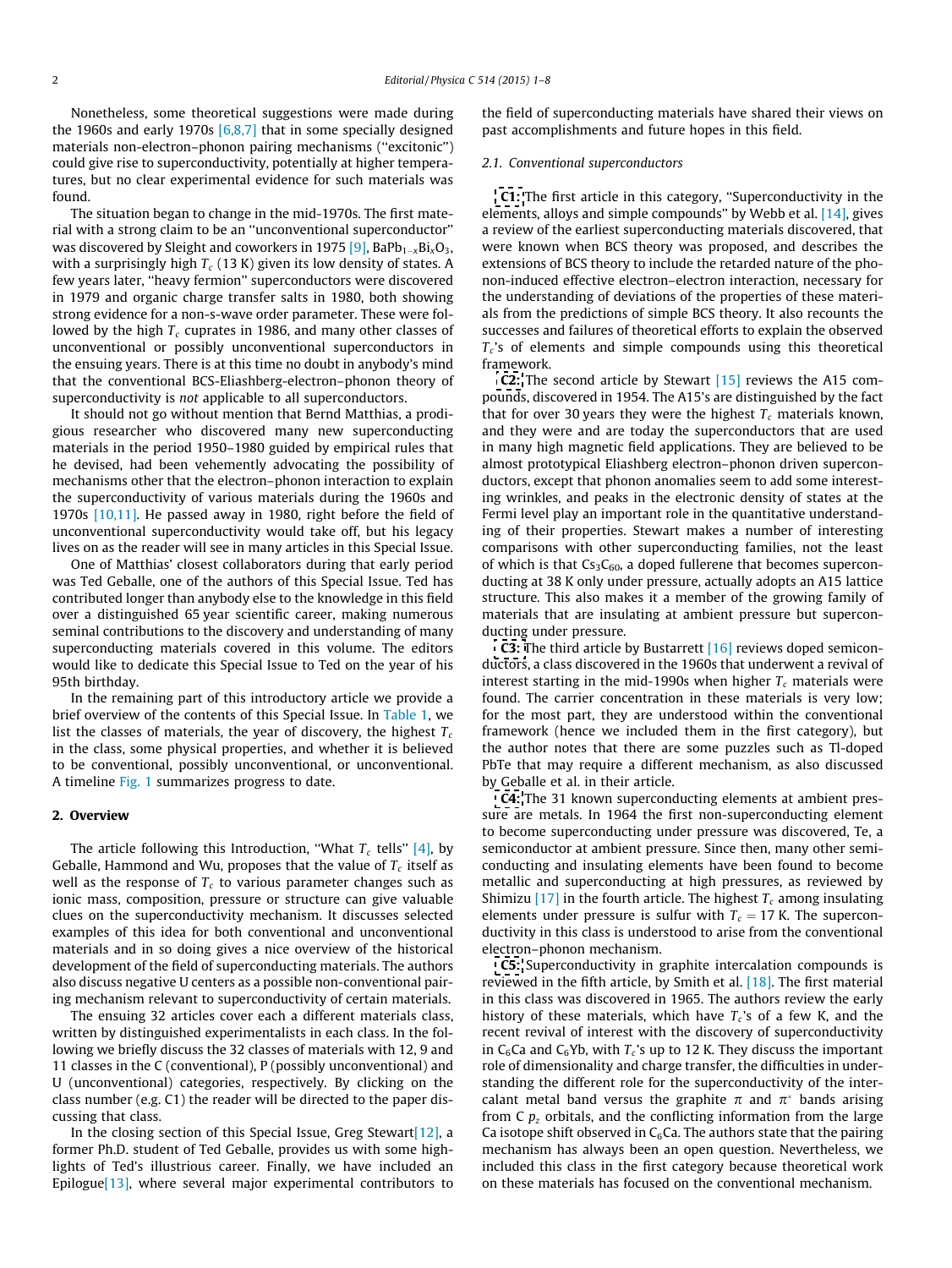Nonetheless, some theoretical suggestions were made during the 1960s and early 1970s  $[6,8,7]$  that in some specially designed materials non-electron–phonon pairing mechanisms (''excitonic'') could give rise to superconductivity, potentially at higher temperatures, but no clear experimental evidence for such materials was found.

The situation began to change in the mid-1970s. The first material with a strong claim to be an ''unconventional superconductor'' was discovered by Sleight and coworkers in 1975  $\textsf{[9]}$  $\textsf{[9]}$  $\textsf{[9]}$ , BaPb $_{\text{1-} \text{x}}$ Bi $_{\text{x}}$ O $_{\text{3}}$ , with a surprisingly high  $T_c$  (13 K) given its low density of states. A few years later, ''heavy fermion'' superconductors were discovered in 1979 and organic charge transfer salts in 1980, both showing strong evidence for a non-s-wave order parameter. These were followed by the high  $T_c$  cuprates in 1986, and many other classes of unconventional or possibly unconventional superconductors in the ensuing years. There is at this time no doubt in anybody's mind that the conventional BCS-Eliashberg-electron–phonon theory of superconductivity is not applicable to all superconductors.

It should not go without mention that Bernd Matthias, a prodigious researcher who discovered many new superconducting materials in the period 1950–1980 guided by empirical rules that he devised, had been vehemently advocating the possibility of mechanisms other that the electron–phonon interaction to explain the superconductivity of various materials during the 1960s and 1970s [\[10,11\]](#page-6-0). He passed away in 1980, right before the field of unconventional superconductivity would take off, but his legacy lives on as the reader will see in many articles in this Special Issue.

One of Matthias' closest collaborators during that early period was Ted Geballe, one of the authors of this Special Issue. Ted has contributed longer than anybody else to the knowledge in this field over a distinguished 65 year scientific career, making numerous seminal contributions to the discovery and understanding of many superconducting materials covered in this volume. The editors would like to dedicate this Special Issue to Ted on the year of his 95th birthday.

In the remaining part of this introductory article we provide a brief overview of the contents of this Special Issue. In [Table 1,](#page-2-0) we list the classes of materials, the year of discovery, the highest  $T_c$ in the class, some physical properties, and whether it is believed to be conventional, possibly unconventional, or unconventional. A timeline [Fig. 1](#page-6-0) summarizes progress to date.

#### 2. Overview

The article following this Introduction, "What  $T_c$  tells" [\[4\]](#page-6-0), by Geballe, Hammond and Wu, proposes that the value of  $T_c$  itself as well as the response of  $T_c$  to various parameter changes such as ionic mass, composition, pressure or structure can give valuable clues on the superconductivity mechanism. It discusses selected examples of this idea for both conventional and unconventional materials and in so doing gives a nice overview of the historical development of the field of superconducting materials. The authors also discuss negative U centers as a possible non-conventional pairing mechanism relevant to superconductivity of certain materials.

The ensuing 32 articles cover each a different materials class, written by distinguished experimentalists in each class. In the following we briefly discuss the 32 classes of materials with 12, 9 and 11 classes in the C (conventional), P (possibly unconventional) and U (unconventional) categories, respectively. By clicking on the class number (e.g. C1) the reader will be directed to the paper discussing that class.

In the closing section of this Special Issue, Greg Stewart  $[12]$ , a former Ph.D. student of Ted Geballe, provides us with some highlights of Ted's illustrious career. Finally, we have included an Epilogu[e\[13\],](#page-6-0) where several major experimental contributors to

the field of superconducting materials have shared their views on past accomplishments and future hopes in this field.

#### 2.1. Conventional superconductors

[C1:](http://www.sciencedirect.com/science/article/pii/S0921453415000647) The first article in this category, ''Superconductivity in the elements, alloys and simple compounds'' by Webb et al. [\[14\],](#page-6-0) gives a review of the earliest superconducting materials discovered, that were known when BCS theory was proposed, and describes the extensions of BCS theory to include the retarded nature of the phonon-induced effective electron–electron interaction, necessary for the understanding of deviations of the properties of these materials from the predictions of simple BCS theory. It also recounts the successes and failures of theoretical efforts to explain the observed  $T_c$ 's of elements and simple compounds using this theoretical framework.

[C2:](http://www.sciencedirect.com/science/article/pii/S0921453415000404) The second article by Stewart [\[15\]](#page-6-0) reviews the A15 compounds, discovered in 1954. The A15's are distinguished by the fact that for over 30 years they were the highest  $T_c$  materials known, and they were and are today the superconductors that are used in many high magnetic field applications. They are believed to be almost prototypical Eliashberg electron–phonon driven superconductors, except that phonon anomalies seem to add some interesting wrinkles, and peaks in the electronic density of states at the Fermi level play an important role in the quantitative understanding of their properties. Stewart makes a number of interesting comparisons with other superconducting families, not the least of which is that  $Cs<sub>3</sub>C<sub>60</sub>$ , a doped fullerene that becomes superconducting at 38 K only under pressure, actually adopts an A15 lattice structure. This also makes it a member of the growing family of materials that are insulating at ambient pressure but superconducting under pressure.

**[C3:](http://www.sciencedirect.com/science/article/pii/S0921453415000489)** The third article by Bustarrett [\[16\]](#page-6-0) reviews doped semiconductors, a class discovered in the 1960s that underwent a revival of interest starting in the mid-1990s when higher  $T_c$  materials were found. The carrier concentration in these materials is very low; for the most part, they are understood within the conventional framework (hence we included them in the first category), but the author notes that there are some puzzles such as Tl-doped PbTe that may require a different mechanism, as also discussed by Geballe et al. in their article.

[C4:](http://www.sciencedirect.com/science/article/pii/S0921453415000623) The 31 known superconducting elements at ambient pressure are metals. In 1964 the first non-superconducting element to become superconducting under pressure was discovered, Te, a semiconductor at ambient pressure. Since then, many other semiconducting and insulating elements have been found to become metallic and superconducting at high pressures, as reviewed by Shimizu [\[17\]](#page-6-0) in the fourth article. The highest  $T_c$  among insulating elements under pressure is sulfur with  $T_c = 17$  K. The superconductivity in this class is understood to arise from the conventional electron–phonon mechanism.

[C5:](http://www.sciencedirect.com/science/article/pii/S0921453415000568) Superconductivity in graphite intercalation compounds is reviewed in the fifth article, by Smith et al. [\[18\].](#page-6-0) The first material in this class was discovered in 1965. The authors review the early history of these materials, which have  $T_c$ 's of a few K, and the recent revival of interest with the discovery of superconductivity in C<sub>6</sub>Ca and C<sub>6</sub>Yb, with  $T_c$ 's up to 12 K. They discuss the important role of dimensionality and charge transfer, the difficulties in understanding the different role for the superconductivity of the intercalant metal band versus the graphite  $\pi$  and  $\pi^*$  bands arising from  $C$   $p<sub>z</sub>$  orbitals, and the conflicting information from the large Ca isotope shift observed in  $C_6$ Ca. The authors state that the pairing mechanism has always been an open question. Nevertheless, we included this class in the first category because theoretical work on these materials has focused on the conventional mechanism.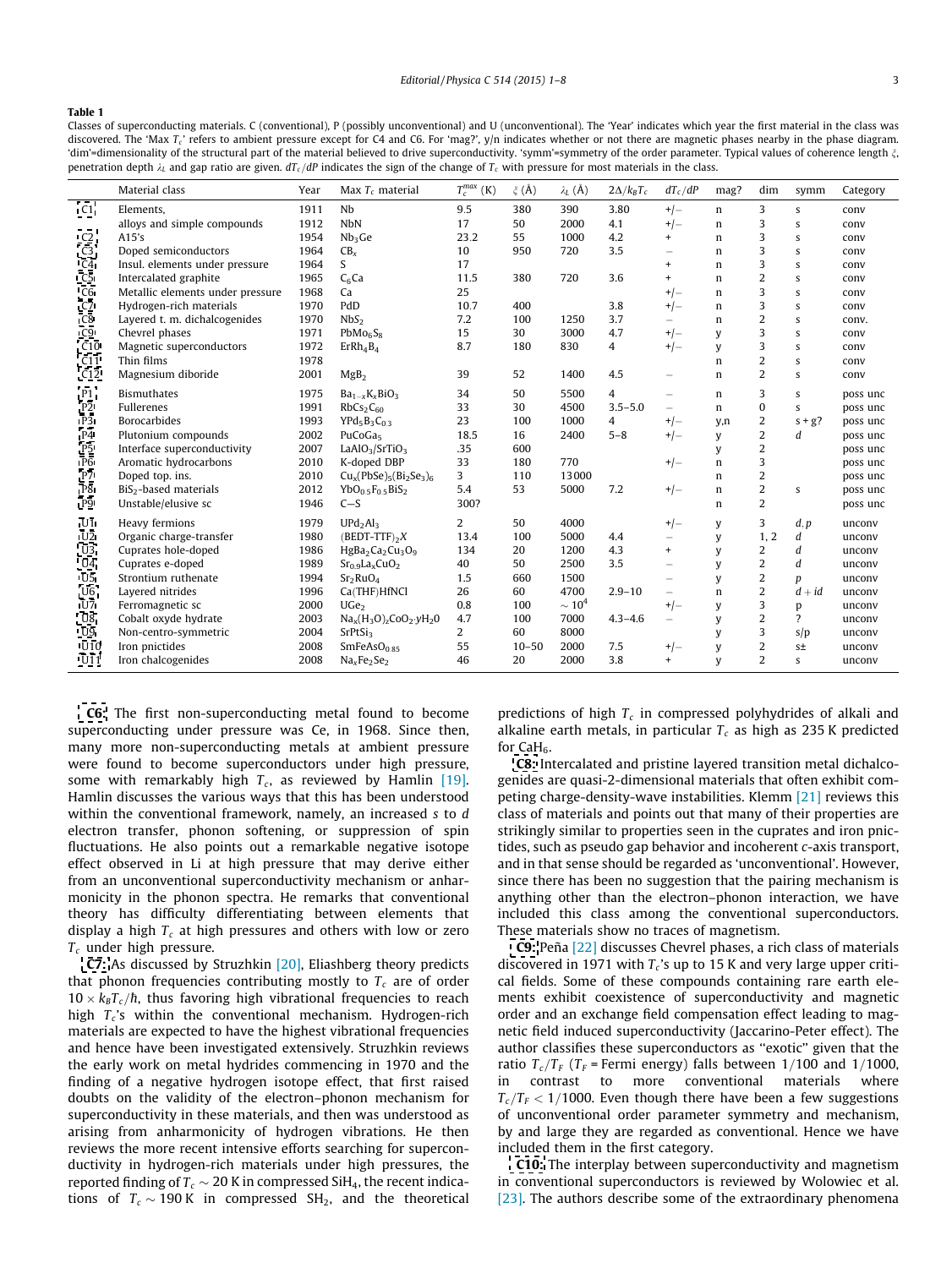#### <span id="page-2-0"></span>Table 1

Classes of superconducting materials. C (conventional), P (possibly unconventional) and U (unconventional). The 'Year' indicates which year the first material in the class was discovered. The 'Max T<sub>c</sub>' refers to ambient pressure except for C4 and C6. For 'mag?', y/n indicates whether or not there are magnetic phases nearby in the phase diagram. 'dim'=dimensionality of the structural part of the material believed to drive superconductivity. 'symm'=symmetry of the order parameter. Typical values of coherence length  $\xi$ , penetration depth  $\lambda_L$  and gap ratio are given.  $dT_c/dP$  indicates the sign of the change of  $T_c$  with pressure for most materials in the class.

|                | Material class                    | Year | Max $T_c$ material                                               | $T_c^{max}$ (K) | $\xi$ (Å) | $\lambda_L(\AA)$ | $2\Delta/k_BT_c$ | $dT_c/dP$                | mag?        | dim                     | symm             | Category |
|----------------|-----------------------------------|------|------------------------------------------------------------------|-----------------|-----------|------------------|------------------|--------------------------|-------------|-------------------------|------------------|----------|
| C1             | Elements.                         | 1911 | Nb                                                               | 9.5             | 380       | 390              | 3.80             | $+/-$                    | n           | 3                       | S                | conv     |
|                | alloys and simple compounds       | 1912 | <b>NbN</b>                                                       | 17              | 50        | 2000             | 4.1              | $+/-$                    | $\mathbf n$ | 3                       | S                | conv     |
| C <sub>2</sub> | A15's                             | 1954 | Nb <sub>3</sub> Ge                                               | 23.2            | 55        | 1000             | 4.2              | $+$                      | n           | 3                       | S                | conv     |
| C <sub>3</sub> | Doped semiconductors              | 1964 | CB <sub>x</sub>                                                  | 10              | 950       | 720              | 3.5              |                          | $\mathbf n$ | 3                       | S                | conv     |
| C <sub>4</sub> | Insul, elements under pressure    | 1964 | S                                                                | 17              |           |                  |                  | $\ddot{}$                | $\mathbf n$ | 3                       | S                | conv     |
| C <sub>5</sub> | Intercalated graphite             | 1965 | $C6$ Ca                                                          | 11.5            | 380       | 720              | 3.6              | $+$                      | $\mathbf n$ | $\overline{2}$          | S                | conv     |
| C <sub>6</sub> | Metallic elements under pressure  | 1968 | Ca                                                               | 25              |           |                  |                  | $+/-$                    | n           | 3                       | s                | conv     |
| C <sub>7</sub> | Hydrogen-rich materials           | 1970 | PdD                                                              | 10.7            | 400       |                  | 3.8              | $+/-$                    | $\mathbf n$ | 3                       | S                | conv     |
| C <sub>8</sub> | Layered t. m. dichalcogenides     | 1970 | NbS <sub>2</sub>                                                 | 7.2             | 100       | 1250             | 3.7              | $\overline{\phantom{0}}$ | n           | $\overline{2}$          | S                | conv.    |
| C <sub>9</sub> | Chevrel phases                    | 1971 | PbMo <sub>6</sub> S <sub>8</sub>                                 | 15              | 30        | 3000             | 4.7              | $+/-$                    | y           | 3                       | S                | conv     |
| C10            | Magnetic superconductors          | 1972 | ErRh <sub>4</sub> B <sub>4</sub>                                 | 8.7             | 180       | 830              | $\overline{4}$   | $+/-$                    | y           | 3                       | S                | conv     |
| C11            | Thin films                        | 1978 |                                                                  |                 |           |                  |                  |                          | $\mathbf n$ | $\overline{2}$          | S                | conv     |
| C12            | Magnesium diboride                | 2001 | MgB <sub>2</sub>                                                 | 39              | 52        | 1400             | 4.5              | $\overline{\phantom{0}}$ | $\mathbf n$ | $\overline{2}$          | S                | conv     |
| P <sub>1</sub> | <b>Bismuthates</b>                | 1975 | $Ba_{1-x}K_xBiO_3$                                               | 34              | 50        | 5500             | $\overline{4}$   | $\overline{\phantom{0}}$ | n           | 3                       | S                | poss unc |
| P <sub>2</sub> | Fullerenes                        | 1991 | RbCs <sub>2</sub> C <sub>60</sub>                                | 33              | 30        | 4500             | $3.5 - 5.0$      | $\overline{\phantom{0}}$ | n           | 0                       | S                | poss unc |
| P <sub>3</sub> | <b>Borocarbides</b>               | 1993 | $YPd_5B_3C_{0.3}$                                                | 23              | 100       | 1000             | $\overline{4}$   | $+/-$                    | y,n         | $\overline{2}$          | $s + g$ ?        | poss unc |
| P <sub>4</sub> | Plutonium compounds               | 2002 | PuCoGas                                                          | 18.5            | 16        | 2400             | $5 - 8$          | $+/-$                    | y           | $\overline{2}$          | d                | poss unc |
| P <sub>5</sub> | Interface superconductivity       | 2007 | LaAlO <sub>3</sub> /SrTiO <sub>3</sub>                           | .35             | 600       |                  |                  |                          | y           | $\overline{2}$          |                  | poss unc |
| P <sub>6</sub> | Aromatic hydrocarbons             | 2010 | K-doped DBP                                                      | 33              | 180       | 770              |                  | $+/-$                    | $\mathbf n$ | 3                       |                  | poss unc |
| P7             | Doped top. ins.                   | 2010 | $Cux(PbSe)5(Bi2Se3)6$                                            | 3               | 110       | 13000            |                  |                          | $\mathbf n$ | $\overline{2}$          |                  | poss unc |
| P <sub>8</sub> | BiS <sub>2</sub> -based materials | 2012 | $YbO0.5F0.5BiS2$                                                 | 5.4             | 53        | 5000             | 7.2              | $+/-$                    | n           | $\overline{\mathbf{c}}$ | S                | poss unc |
| P <sub>9</sub> | Unstable/elusive sc               | 1946 | $C-S$                                                            | 300?            |           |                  |                  |                          | n           | $\overline{2}$          |                  | poss unc |
| U <sub>1</sub> | Heavy fermions                    | 1979 | UPd <sub>2</sub> Al <sub>3</sub>                                 | $\overline{2}$  | 50        | 4000             |                  | $+/-$                    | y           | 3                       | d, p             | unconv   |
| U <sub>2</sub> | Organic charge-transfer           | 1980 | $(BEDT-TTF)_{2}X$                                                | 13.4            | 100       | 5000             | 4.4              |                          | y           | 1, 2                    | d                | unconv   |
| U3             | Cuprates hole-doped               | 1986 | HgBa <sub>2</sub> Ca <sub>2</sub> Cu <sub>3</sub> O <sub>9</sub> | 134             | 20        | 1200             | 4.3              | $\ddot{}$                | y           | 2                       | d                | unconv   |
| U <sub>4</sub> | Cuprates e-doped                  | 1989 | $Sr0.9LaxCuO2$                                                   | 40              | 50        | 2500             | 3.5              | $\overline{\phantom{0}}$ | y           | $\overline{c}$          | $\boldsymbol{d}$ | unconv   |
| U <sub>5</sub> | Strontium ruthenate               | 1994 | Sr <sub>2</sub> RuO <sub>4</sub>                                 | 1.5             | 660       | 1500             |                  | $\overline{\phantom{0}}$ | y           | $\overline{2}$          | p                | unconv   |
| U <sub>6</sub> | Layered nitrides                  | 1996 | Ca(THF)HfNCl                                                     | 26              | 60        | 4700             | $2.9 - 10$       |                          | $\mathbf n$ | $\overline{c}$          | $d + id$         | unconv   |
| U7             | Ferromagnetic sc                  | 2000 | UGe <sub>2</sub>                                                 | 0.8             | 100       | $\sim 10^4$      |                  | $+/-$                    | y           | 3                       | p                | unconv   |
| U8             | Cobalt oxyde hydrate              | 2003 | $Na_x(H_3O)_zCoO_2 yH_2O$                                        | 4.7             | 100       | 7000             | $4.3 - 4.6$      | $\overline{\phantom{0}}$ | у           | $\overline{2}$          | 2                | unconv   |
| U9             | Non-centro-symmetric              | 2004 | $S$ r $P$ t $Si$ <sub>3</sub>                                    | $\overline{2}$  | 60        | 8000             |                  |                          | y           | 3                       | s/p              | unconv   |
| U10            | Iron pnictides                    | 2008 | SmFeAsO <sub>0.85</sub>                                          | 55              | $10 - 50$ | 2000             | 7.5              | $+/-$                    | y           | $\overline{2}$          | $S_{\pm}$        | unconv   |
| U11            | Iron chalcogenides                | 2008 | $NaxFe2Se2$                                                      | 46              | 20        | 2000             | 3.8              | $+$                      | y           | $\overline{2}$          | S                | unconv   |

[C6:](http://www.sciencedirect.com/science/article/pii/S0921453415000593) The first non-superconducting metal found to become superconducting under pressure was Ce, in 1968. Since then, many more non-superconducting metals at ambient pressure were found to become superconductors under high pressure, some with remarkably high  $T_c$ , as reviewed by Hamlin [\[19\].](#page-6-0) Hamlin discusses the various ways that this has been understood within the conventional framework, namely, an increased s to d electron transfer, phonon softening, or suppression of spin fluctuations. He also points out a remarkable negative isotope effect observed in Li at high pressure that may derive either from an unconventional superconductivity mechanism or anharmonicity in the phonon spectra. He remarks that conventional theory has difficulty differentiating between elements that display a high  $T_c$  at high pressures and others with low or zero  $T_c$  under high pressure.

[C7:](http://www.sciencedirect.com/science/article/pii/S0921453415000441) As discussed by Struzhkin [\[20\]](#page-6-0), Eliashberg theory predicts that phonon frequencies contributing mostly to  $T_c$  are of order  $10 \times k_B T_c/\hbar$ , thus favoring high vibrational frequencies to reach high  $T_c$ 's within the conventional mechanism. Hydrogen-rich materials are expected to have the highest vibrational frequencies and hence have been investigated extensively. Struzhkin reviews the early work on metal hydrides commencing in 1970 and the finding of a negative hydrogen isotope effect, that first raised doubts on the validity of the electron–phonon mechanism for superconductivity in these materials, and then was understood as arising from anharmonicity of hydrogen vibrations. He then reviews the more recent intensive efforts searching for superconductivity in hydrogen-rich materials under high pressures, the reported finding of  $T_c \sim 20$  K in compressed SiH<sub>4</sub>, the recent indications of  $T_c \sim 190 \text{ K}$  in compressed SH<sub>2</sub>, and the theoretical predictions of high  $T_c$  in compressed polyhydrides of alkali and alkaline earth metals, in particular  $T_c$  as high as 235 K predicted for CaH<sub>6</sub>.

[C8:](http://www.sciencedirect.com/science/article/pii/S0921453415000507) Intercalated and pristine layered transition metal dichalcogenides are quasi-2-dimensional materials that often exhibit competing charge-density-wave instabilities. Klemm [\[21\]](#page-6-0) reviews this class of materials and points out that many of their properties are strikingly similar to properties seen in the cuprates and iron pnictides, such as pseudo gap behavior and incoherent c-axis transport, and in that sense should be regarded as 'unconventional'. However, since there has been no suggestion that the pairing mechanism is anything other than the electron–phonon interaction, we have included this class among the conventional superconductors. These materials show no traces of magnetism.

[C9:](http://www.sciencedirect.com/science/article/pii/S0921453415000465) Peña [\[22\]](#page-6-0) discusses Chevrel phases, a rich class of materials discovered in 1971 with  $T_c$ 's up to 15 K and very large upper critical fields. Some of these compounds containing rare earth elements exhibit coexistence of superconductivity and magnetic order and an exchange field compensation effect leading to magnetic field induced superconductivity (Jaccarino-Peter effect). The author classifies these superconductors as ''exotic'' given that the ratio  $T_c/T_F$  ( $T_F$  = Fermi energy) falls between 1/100 and 1/1000, in contrast to more conventional materials where  $T_c/T_F < 1/1000$ . Even though there have been a few suggestions of unconventional order parameter symmetry and mechanism, by and large they are regarded as conventional. Hence we have included them in the first category.

[C10:](http://www.sciencedirect.com/science/article/pii/S0921453415000908) The interplay between superconductivity and magnetism in conventional superconductors is reviewed by Wolowiec et al. [\[23\]](#page-6-0). The authors describe some of the extraordinary phenomena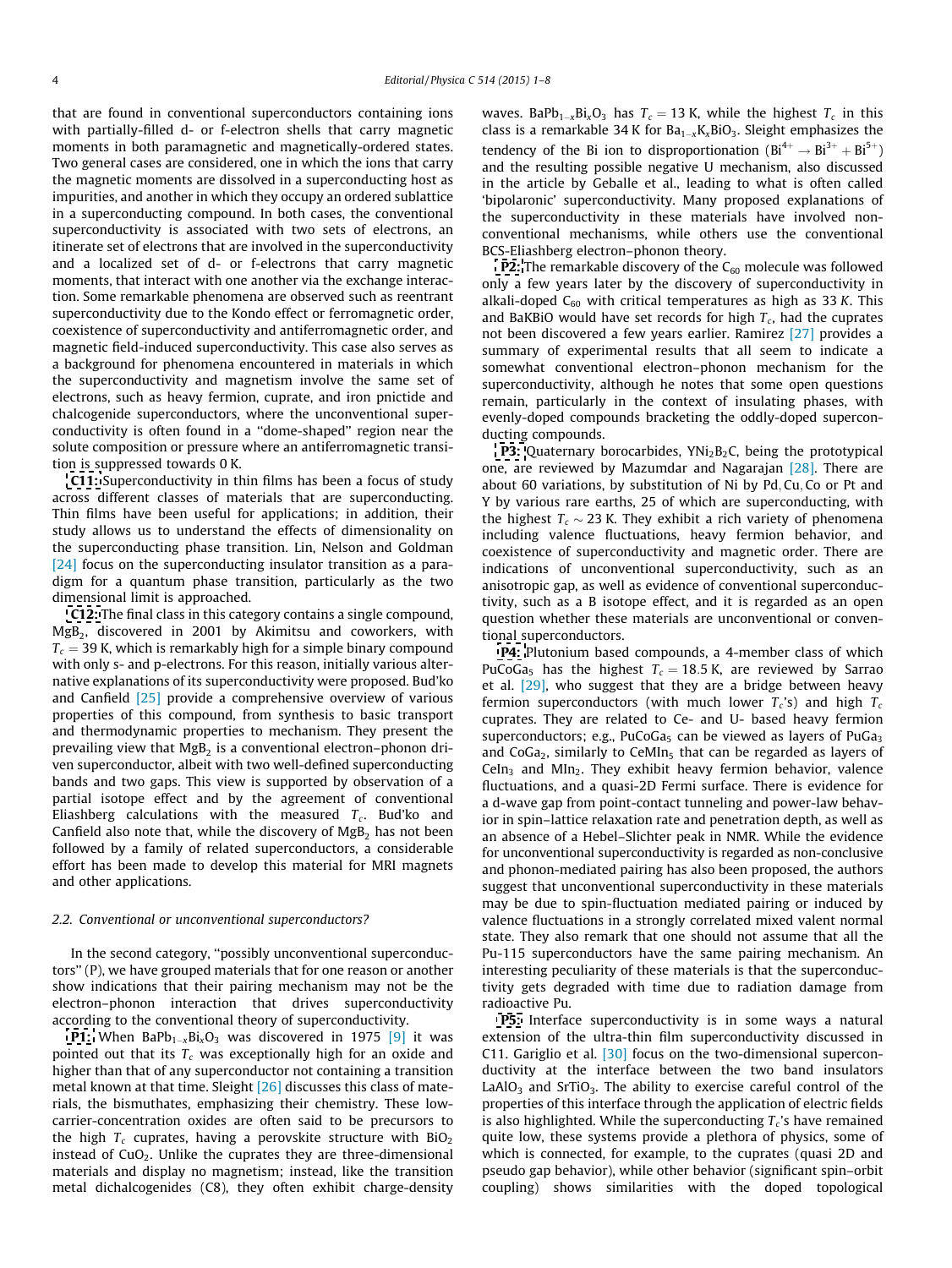that are found in conventional superconductors containing ions with partially-filled d- or f-electron shells that carry magnetic moments in both paramagnetic and magnetically-ordered states. Two general cases are considered, one in which the ions that carry the magnetic moments are dissolved in a superconducting host as impurities, and another in which they occupy an ordered sublattice in a superconducting compound. In both cases, the conventional superconductivity is associated with two sets of electrons, an itinerate set of electrons that are involved in the superconductivity and a localized set of d- or f-electrons that carry magnetic moments, that interact with one another via the exchange interaction. Some remarkable phenomena are observed such as reentrant superconductivity due to the Kondo effect or ferromagnetic order, coexistence of superconductivity and antiferromagnetic order, and magnetic field-induced superconductivity. This case also serves as a background for phenomena encountered in materials in which the superconductivity and magnetism involve the same set of electrons, such as heavy fermion, cuprate, and iron pnictide and chalcogenide superconductors, where the unconventional superconductivity is often found in a ''dome-shaped'' region near the solute composition or pressure where an antiferromagnetic transition is suppressed towards 0 K.

[C11:](http://www.sciencedirect.com/science/article/pii/S0921453415000143) Superconductivity in thin films has been a focus of study across different classes of materials that are superconducting. Thin films have been useful for applications; in addition, their study allows us to understand the effects of dimensionality on the superconducting phase transition. Lin, Nelson and Goldman [\[24\]](#page-6-0) focus on the superconducting insulator transition as a paradigm for a quantum phase transition, particularly as the two dimensional limit is approached.

[C12:](http://www.sciencedirect.com/science/article/pii/S0921453415000519) The final class in this category contains a single compound, MgB<sub>2</sub>, discovered in 2001 by Akimitsu and coworkers, with  $T_c$  = 39 K, which is remarkably high for a simple binary compound with only s- and p-electrons. For this reason, initially various alternative explanations of its superconductivity were proposed. Bud'ko and Canfield [\[25\]](#page-6-0) provide a comprehensive overview of various properties of this compound, from synthesis to basic transport and thermodynamic properties to mechanism. They present the prevailing view that  $MgB<sub>2</sub>$  is a conventional electron–phonon driven superconductor, albeit with two well-defined superconducting bands and two gaps. This view is supported by observation of a partial isotope effect and by the agreement of conventional Eliashberg calculations with the measured  $T_c$ . Bud'ko and Canfield also note that, while the discovery of  $MgB<sub>2</sub>$  has not been followed by a family of related superconductors, a considerable effort has been made to develop this material for MRI magnets and other applications.

#### 2.2. Conventional or unconventional superconductors?

In the second category, ''possibly unconventional superconductors'' (P), we have grouped materials that for one reason or another show indications that their pairing mechanism may not be the electron–phonon interaction that drives superconductivity according to the conventional theory of superconductivity.

**[P1:](http://www.sciencedirect.com/science/article/pii/S0921453415000398)** When BaPb $_{1-x}$ Bi $_x$ O $_3$  was discovered in 1975  $[9]$  it was pointed out that its  $T_c$  was exceptionally high for an oxide and higher than that of any superconductor not containing a transition metal known at that time. Sleight [\[26\]](#page-6-0) discusses this class of materials, the bismuthates, emphasizing their chemistry. These lowcarrier-concentration oxides are often said to be precursors to the high  $T_c$  cuprates, having a perovskite structure with  $BiO<sub>2</sub>$ instead of  $CuO<sub>2</sub>$ . Unlike the cuprates they are three-dimensional materials and display no magnetism; instead, like the transition metal dichalcogenides (C8), they often exhibit charge-density waves. BaPb<sub>1-x</sub>Bi<sub>x</sub>O<sub>3</sub> has  $T_c = 13$  K, while the highest  $T_c$  in this class is a remarkable 34 K for  $Ba_{1-x}K_xBiO_3$ . Sleight emphasizes the tendency of the Bi ion to disproportionation  $(Bi^{4+} \rightarrow Bi^{3+} + Bi^{5+})$ and the resulting possible negative U mechanism, also discussed in the article by Geballe et al., leading to what is often called 'bipolaronic' superconductivity. Many proposed explanations of the superconductivity in these materials have involved nonconventional mechanisms, while others use the conventional BCS-Eliashberg electron–phonon theory.

**[P2:](http://www.sciencedirect.com/science/article/pii/S0921453415000416)** The remarkable discovery of the  $C_{60}$  molecule was followed only a few years later by the discovery of superconductivity in alkali-doped  $C_{60}$  with critical temperatures as high as 33 K. This and BaKBiO would have set records for high  $T_c$ , had the cuprates not been discovered a few years earlier. Ramirez [\[27\]](#page-6-0) provides a summary of experimental results that all seem to indicate a somewhat conventional electron–phonon mechanism for the superconductivity, although he notes that some open questions remain, particularly in the context of insulating phases, with evenly-doped compounds bracketing the oddly-doped superconducting compounds.

**[P3:](http://www.sciencedirect.com/science/article/pii/S0921453415000611)** Quaternary borocarbides,  $YNi<sub>2</sub>B<sub>2</sub>C$ , being the prototypical one, are reviewed by Mazumdar and Nagarajan [\[28\].](#page-6-0) There are about 60 variations, by substitution of Ni by Pd; Cu; Co or Pt and Y by various rare earths, 25 of which are superconducting, with the highest  $T_c \sim 23$  K. They exhibit a rich variety of phenomena including valence fluctuations, heavy fermion behavior, and coexistence of superconductivity and magnetic order. There are indications of unconventional superconductivity, such as an anisotropic gap, as well as evidence of conventional superconductivity, such as a B isotope effect, and it is regarded as an open question whether these materials are unconventional or conventional superconductors.

[P4:](http://www.sciencedirect.com/science/article/pii/S0921453415000581) Plutonium based compounds, a 4-member class of which PuCoGa<sub>5</sub> has the highest  $T_c = 18.5$  K, are reviewed by Sarrao et al. [\[29\]](#page-6-0), who suggest that they are a bridge between heavy fermion superconductors (with much lower  $T_c$ 's) and high  $T_c$ cuprates. They are related to Ce- and U- based heavy fermion superconductors; e.g., PuCoGa $_5$  can be viewed as layers of PuGa $_3$ and  $CoGa<sub>2</sub>$ , similarly to CeMIn<sub>5</sub> that can be regarded as layers of CeIn<sub>3</sub> and MIn<sub>2</sub>. They exhibit heavy fermion behavior, valence fluctuations, and a quasi-2D Fermi surface. There is evidence for a d-wave gap from point-contact tunneling and power-law behavior in spin–lattice relaxation rate and penetration depth, as well as an absence of a Hebel–Slichter peak in NMR. While the evidence for unconventional superconductivity is regarded as non-conclusive and phonon-mediated pairing has also been proposed, the authors suggest that unconventional superconductivity in these materials may be due to spin-fluctuation mediated pairing or induced by valence fluctuations in a strongly correlated mixed valent normal state. They also remark that one should not assume that all the Pu-115 superconductors have the same pairing mechanism. An interesting peculiarity of these materials is that the superconductivity gets degraded with time due to radiation damage from radioactive Pu.

**[P5:](http://www.sciencedirect.com/science/article/pii/S0921453415000556)** Interface superconductivity is in some ways a natural extension of the ultra-thin film superconductivity discussed in C11. Gariglio et al. [\[30\]](#page-6-0) focus on the two-dimensional superconductivity at the interface between the two band insulators LaAlO<sub>3</sub> and SrTiO<sub>3</sub>. The ability to exercise careful control of the properties of this interface through the application of electric fields is also highlighted. While the superconducting  $T_c$ 's have remained quite low, these systems provide a plethora of physics, some of which is connected, for example, to the cuprates (quasi 2D and pseudo gap behavior), while other behavior (significant spin–orbit coupling) shows similarities with the doped topological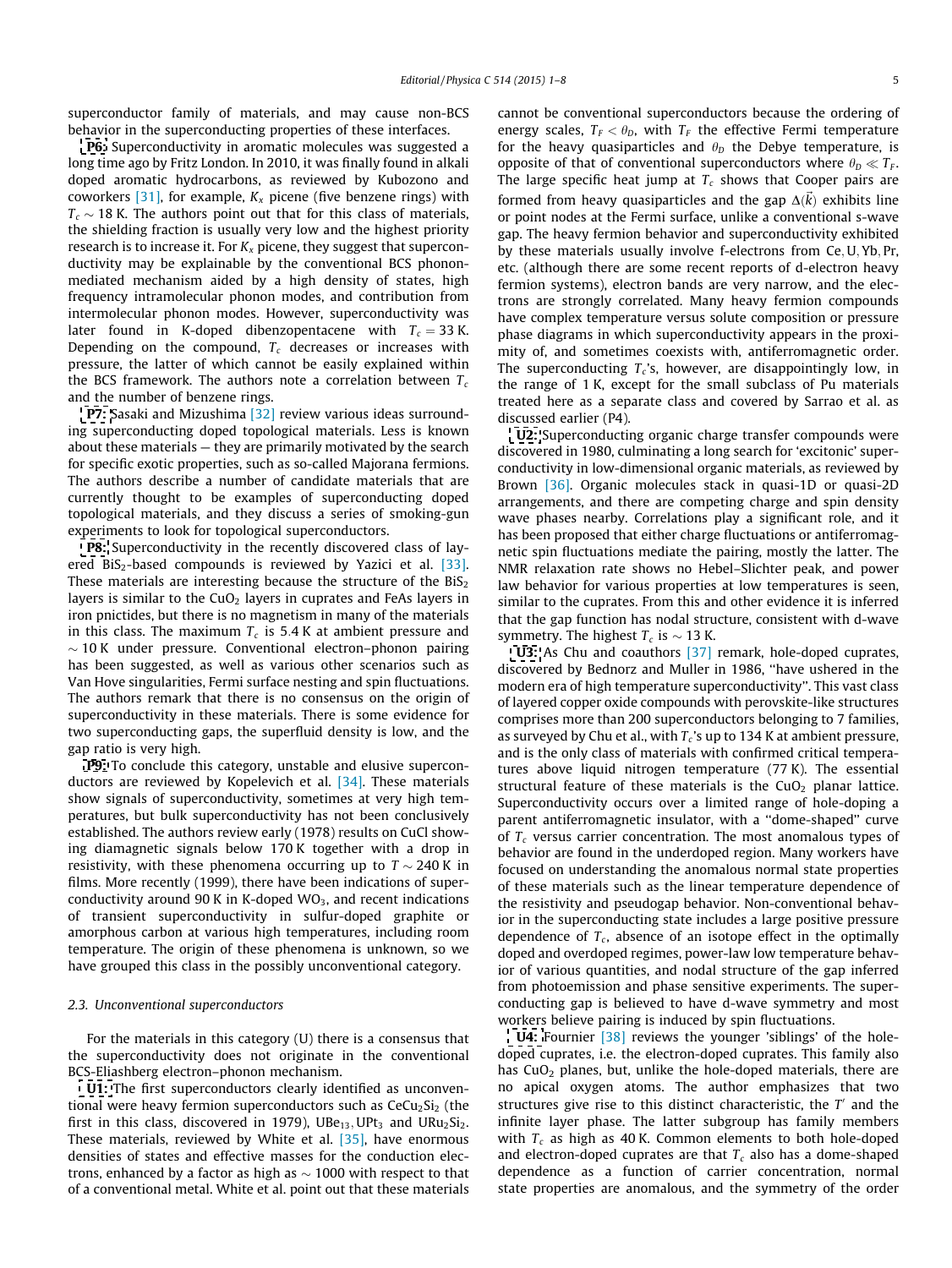superconductor family of materials, and may cause non-BCS behavior in the superconducting properties of these interfaces.

[P6:](http://www.sciencedirect.com/science/article/pii/S0921453415000428) Superconductivity in aromatic molecules was suggested a long time ago by Fritz London. In 2010, it was finally found in alkali doped aromatic hydrocarbons, as reviewed by Kubozono and coworkers  $[31]$ , for example,  $K_x$  picene (five benzene rings) with  $T_c \sim 18$  K. The authors point out that for this class of materials, the shielding fraction is usually very low and the highest priority research is to increase it. For  $K_x$  picene, they suggest that superconductivity may be explainable by the conventional BCS phononmediated mechanism aided by a high density of states, high frequency intramolecular phonon modes, and contribution from intermolecular phonon modes. However, superconductivity was later found in K-doped dibenzopentacene with  $T_c = 33$  K. Depending on the compound,  $T_c$  decreases or increases with pressure, the latter of which cannot be easily explained within the BCS framework. The authors note a correlation between  $T_c$ and the number of benzene rings.

**[P7:](http://www.sciencedirect.com/science/article/pii/S0921453415000453)** Sasaki and Mizushima [\[32\]](#page-7-0) review various ideas surrounding superconducting doped topological materials. Less is known about these materials — they are primarily motivated by the search for specific exotic properties, such as so-called Majorana fermions. The authors describe a number of candidate materials that are currently thought to be examples of superconducting doped topological materials, and they discuss a series of smoking-gun experiments to look for topological superconductors.

[P8:](http://www.sciencedirect.com/science/article/pii/S0921453415000520) Superconductivity in the recently discovered class of lay-ered BiS<sub>2</sub>-based compounds is reviewed by Yazici et al. [\[33\].](#page-7-0) These materials are interesting because the structure of the  $BiS<sub>2</sub>$ layers is similar to the  $CuO<sub>2</sub>$  layers in cuprates and FeAs layers in iron pnictides, but there is no magnetism in many of the materials in this class. The maximum  $T_c$  is 5.4 K at ambient pressure and  $\sim$  10 K under pressure. Conventional electron–phonon pairing has been suggested, as well as various other scenarios such as Van Hove singularities, Fermi surface nesting and spin fluctuations. The authors remark that there is no consensus on the origin of superconductivity in these materials. There is some evidence for two superconducting gaps, the superfluid density is low, and the gap ratio is very high.

[P9:](http://www.sciencedirect.com/science/article/pii/S0921453415000544) To conclude this category, unstable and elusive superconductors are reviewed by Kopelevich et al. [\[34\].](#page-7-0) These materials show signals of superconductivity, sometimes at very high temperatures, but bulk superconductivity has not been conclusively established. The authors review early (1978) results on CuCl showing diamagnetic signals below 170 K together with a drop in resistivity, with these phenomena occurring up to  $T \sim 240$  K in films. More recently (1999), there have been indications of superconductivity around 90 K in K-doped  $WO<sub>3</sub>$ , and recent indications of transient superconductivity in sulfur-doped graphite or amorphous carbon at various high temperatures, including room temperature. The origin of these phenomena is unknown, so we have grouped this class in the possibly unconventional category.

#### 2.3. Unconventional superconductors

For the materials in this category (U) there is a consensus that the superconductivity does not originate in the conventional BCS-Eliashberg electron–phonon mechanism.

[U1:](http://www.sciencedirect.com/science/article/pii/S0921453415000714) The first superconductors clearly identified as unconventional were heavy fermion superconductors such as  $CeCu<sub>2</sub>Si<sub>2</sub>$  (the first in this class, discovered in 1979), UBe $_{13}$ , UPt<sub>3</sub> and URu<sub>2</sub>Si<sub>2</sub>. These materials, reviewed by White et al. [\[35\]](#page-7-0), have enormous densities of states and effective masses for the conduction electrons, enhanced by a factor as high as  $\sim$  1000 with respect to that of a conventional metal. White et al. point out that these materials cannot be conventional superconductors because the ordering of energy scales,  $T_F < \theta_D$ , with  $T_F$  the effective Fermi temperature for the heavy quasiparticles and  $\theta_D$  the Debye temperature, is opposite of that of conventional superconductors where  $\theta_D \ll T_F$ . The large specific heat jump at  $T_c$  shows that Cooper pairs are formed from heavy quasiparticles and the gap  $\Delta(\vec{k})$  exhibits line or point nodes at the Fermi surface, unlike a conventional s-wave gap. The heavy fermion behavior and superconductivity exhibited by these materials usually involve f-electrons from Ce, U, Yb, Pr, etc. (although there are some recent reports of d-electron heavy fermion systems), electron bands are very narrow, and the electrons are strongly correlated. Many heavy fermion compounds have complex temperature versus solute composition or pressure phase diagrams in which superconductivity appears in the proximity of, and sometimes coexists with, antiferromagnetic order. The superconducting  $T_c$ 's, however, are disappointingly low, in the range of 1 K, except for the small subclass of Pu materials treated here as a separate class and covered by Sarrao et al. as discussed earlier (P4).

[U2:](http://www.sciencedirect.com/science/article/pii/S092145341500057X) Superconducting organic charge transfer compounds were discovered in 1980, culminating a long search for 'excitonic' superconductivity in low-dimensional organic materials, as reviewed by Brown [\[36\].](#page-7-0) Organic molecules stack in quasi-1D or quasi-2D arrangements, and there are competing charge and spin density wave phases nearby. Correlations play a significant role, and it has been proposed that either charge fluctuations or antiferromagnetic spin fluctuations mediate the pairing, mostly the latter. The NMR relaxation rate shows no Hebel–Slichter peak, and power law behavior for various properties at low temperatures is seen, similar to the cuprates. From this and other evidence it is inferred that the gap function has nodal structure, consistent with d-wave symmetry. The highest  $T_c$  is  $\sim$  13 K.

[U3:](http://www.sciencedirect.com/science/article/pii/S0921453415000878) As Chu and coauthors [\[37\]](#page-7-0) remark, hole-doped cuprates, discovered by Bednorz and Muller in 1986, ''have ushered in the modern era of high temperature superconductivity''. This vast class of layered copper oxide compounds with perovskite-like structures comprises more than 200 superconductors belonging to 7 families, as surveyed by Chu et al., with  $T_c$ 's up to 134 K at ambient pressure, and is the only class of materials with confirmed critical temperatures above liquid nitrogen temperature (77 K). The essential structural feature of these materials is the  $CuO<sub>2</sub>$  planar lattice. Superconductivity occurs over a limited range of hole-doping a parent antiferromagnetic insulator, with a ''dome-shaped'' curve of  $T_c$  versus carrier concentration. The most anomalous types of behavior are found in the underdoped region. Many workers have focused on understanding the anomalous normal state properties of these materials such as the linear temperature dependence of the resistivity and pseudogap behavior. Non-conventional behavior in the superconducting state includes a large positive pressure dependence of  $T_c$ , absence of an isotope effect in the optimally doped and overdoped regimes, power-law low temperature behavior of various quantities, and nodal structure of the gap inferred from photoemission and phase sensitive experiments. The superconducting gap is believed to have d-wave symmetry and most workers believe pairing is induced by spin fluctuations.

**[U4:](http://www.sciencedirect.com/science/article/pii/S0921453415000635)** Fournier [\[38\]](#page-7-0) reviews the younger 'siblings' of the holedoped cuprates, i.e. the electron-doped cuprates. This family also has CuO<sub>2</sub> planes, but, unlike the hole-doped materials, there are no apical oxygen atoms. The author emphasizes that two structures give rise to this distinct characteristic, the  $T'$  and the infinite layer phase. The latter subgroup has family members with  $T_c$  as high as 40 K. Common elements to both hole-doped and electron-doped cuprates are that  $T_c$  also has a dome-shaped dependence as a function of carrier concentration, normal state properties are anomalous, and the symmetry of the order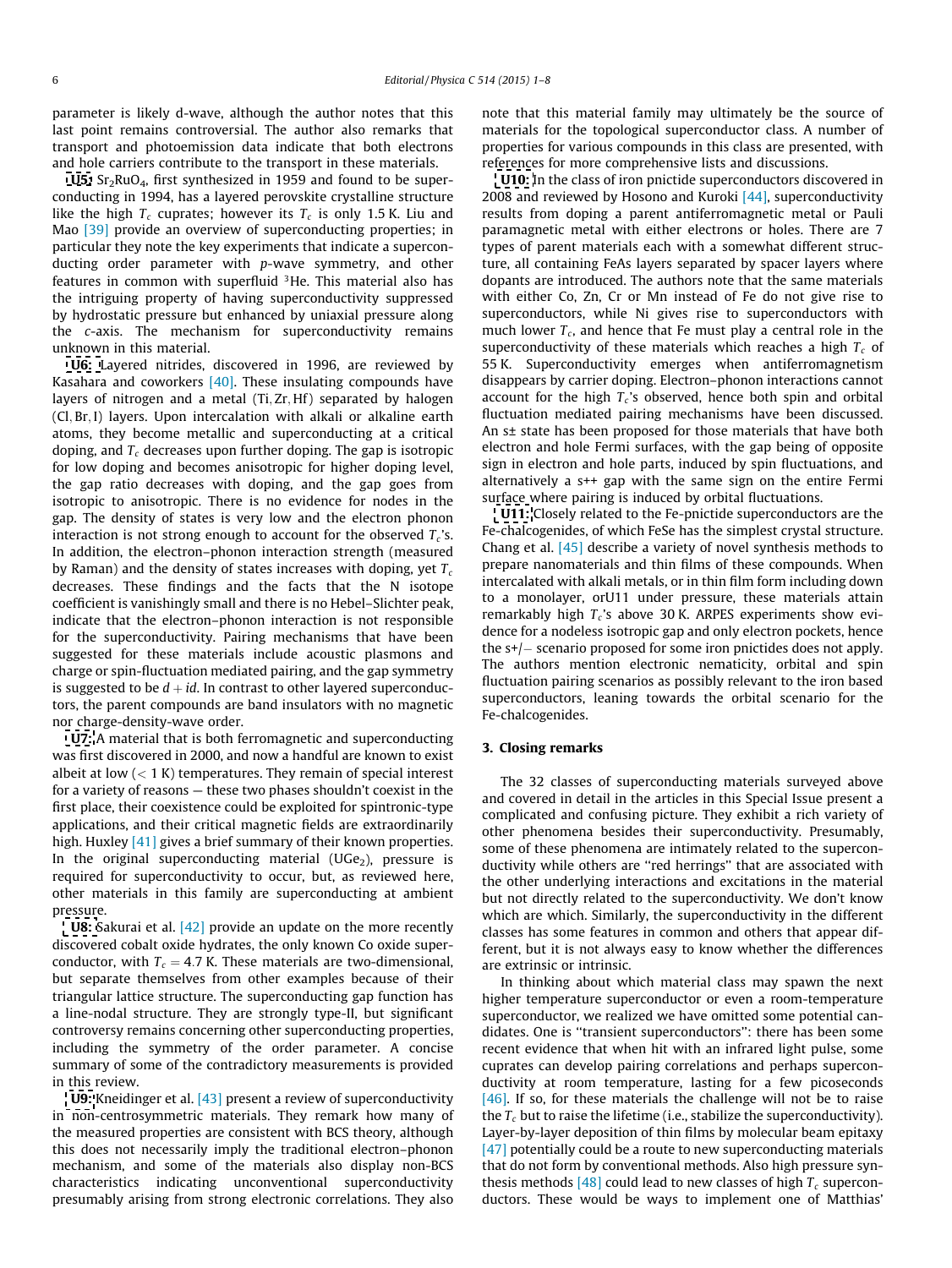parameter is likely d-wave, although the author notes that this last point remains controversial. The author also remarks that transport and photoemission data indicate that both electrons and hole carriers contribute to the transport in these materials.

**[U5:](http://www.sciencedirect.com/science/article/pii/S0921453415000660)**  $Sr<sub>2</sub>RuO<sub>4</sub>$ , first synthesized in 1959 and found to be superconducting in 1994, has a layered perovskite crystalline structure like the high  $T_c$  cuprates; however its  $T_c$  is only 1.5 K. Liu and Mao [\[39\]](#page-7-0) provide an overview of superconducting properties; in particular they note the key experiments that indicate a superconducting order parameter with p-wave symmetry, and other features in common with superfluid 3He. This material also has the intriguing property of having superconductivity suppressed by hydrostatic pressure but enhanced by uniaxial pressure along the c-axis. The mechanism for superconductivity remains unknown in this material.

[U6:](http://www.sciencedirect.com/science/article/pii/S0921453415000490) Layered nitrides, discovered in 1996, are reviewed by Kasahara and coworkers  $[40]$ . These insulating compounds have layers of nitrogen and a metal (Ti, Zr, Hf) separated by halogen (Cl; Br; I) layers. Upon intercalation with alkali or alkaline earth atoms, they become metallic and superconducting at a critical doping, and  $T_c$  decreases upon further doping. The gap is isotropic for low doping and becomes anisotropic for higher doping level, the gap ratio decreases with doping, and the gap goes from isotropic to anisotropic. There is no evidence for nodes in the gap. The density of states is very low and the electron phonon interaction is not strong enough to account for the observed  $T_c$ 's. In addition, the electron–phonon interaction strength (measured by Raman) and the density of states increases with doping, yet  $T_c$ decreases. These findings and the facts that the N isotope coefficient is vanishingly small and there is no Hebel–Slichter peak, indicate that the electron–phonon interaction is not responsible for the superconductivity. Pairing mechanisms that have been suggested for these materials include acoustic plasmons and charge or spin-fluctuation mediated pairing, and the gap symmetry is suggested to be  $d + id$ . In contrast to other layered superconductors, the parent compounds are band insulators with no magnetic nor charge-density-wave order.

[U7:](http://www.sciencedirect.com/science/article/pii/S0921453415000532) A material that is both ferromagnetic and superconducting was first discovered in 2000, and now a handful are known to exist albeit at low  $(< 1 K)$  temperatures. They remain of special interest for a variety of reasons — these two phases shouldn't coexist in the first place, their coexistence could be exploited for spintronic-type applications, and their critical magnetic fields are extraordinarily high. Huxley [\[41\]](#page-7-0) gives a brief summary of their known properties. In the original superconducting material  $(UGe<sub>2</sub>)$ , pressure is required for superconductivity to occur, but, as reviewed here, other materials in this family are superconducting at ambient pressure.

**[U8:](http://www.sciencedirect.com/science/article/pii/S0921453415000374)** Sakurai et al. [\[42\]](#page-7-0) provide an update on the more recently discovered cobalt oxide hydrates, the only known Co oxide superconductor, with  $T_c = 4.7$  K. These materials are two-dimensional, but separate themselves from other examples because of their triangular lattice structure. The superconducting gap function has a line-nodal structure. They are strongly type-II, but significant controversy remains concerning other superconducting properties, including the symmetry of the order parameter. A concise summary of some of the contradictory measurements is provided in this review.

[U9:](http://www.sciencedirect.com/science/article/pii/S092145341500043X) Kneidinger et al. [\[43\]](#page-7-0) present a review of superconductivity in non-centrosymmetric materials. They remark how many of the measured properties are consistent with BCS theory, although this does not necessarily imply the traditional electron–phonon mechanism, and some of the materials also display non-BCS characteristics indicating unconventional superconductivity presumably arising from strong electronic correlations. They also note that this material family may ultimately be the source of materials for the topological superconductor class. A number of properties for various compounds in this class are presented, with references for more comprehensive lists and discussions.

[U10:](http://www.sciencedirect.com/science/article/pii/S0921453415000477) In the class of iron pnictide superconductors discovered in 2008 and reviewed by Hosono and Kuroki  $[44]$ , superconductivity results from doping a parent antiferromagnetic metal or Pauli paramagnetic metal with either electrons or holes. There are 7 types of parent materials each with a somewhat different structure, all containing FeAs layers separated by spacer layers where dopants are introduced. The authors note that the same materials with either Co, Zn, Cr or Mn instead of Fe do not give rise to superconductors, while Ni gives rise to superconductors with much lower  $T_c$ , and hence that Fe must play a central role in the superconductivity of these materials which reaches a high  $T_c$  of 55 K. Superconductivity emerges when antiferromagnetism disappears by carrier doping. Electron–phonon interactions cannot account for the high  $T_c$ 's observed, hence both spin and orbital fluctuation mediated pairing mechanisms have been discussed. An s± state has been proposed for those materials that have both electron and hole Fermi surfaces, with the gap being of opposite sign in electron and hole parts, induced by spin fluctuations, and alternatively a s++ gap with the same sign on the entire Fermi surface where pairing is induced by orbital fluctuations.

[U11:](http://www.sciencedirect.com/science/article/pii/S0921453415000386) Closely related to the Fe-pnictide superconductors are the Fe-chalcogenides, of which FeSe has the simplest crystal structure. Chang et al.  $[45]$  describe a variety of novel synthesis methods to prepare nanomaterials and thin films of these compounds. When intercalated with alkali metals, or in thin film form including down to a monolayer, orU11 under pressure, these materials attain remarkably high  $T_c$ 's above 30 K. ARPES experiments show evidence for a nodeless isotropic gap and only electron pockets, hence the s+/– scenario proposed for some iron pnictides does not apply. The authors mention electronic nematicity, orbital and spin fluctuation pairing scenarios as possibly relevant to the iron based superconductors, leaning towards the orbital scenario for the Fe-chalcogenides.

### 3. Closing remarks

The 32 classes of superconducting materials surveyed above and covered in detail in the articles in this Special Issue present a complicated and confusing picture. They exhibit a rich variety of other phenomena besides their superconductivity. Presumably, some of these phenomena are intimately related to the superconductivity while others are ''red herrings'' that are associated with the other underlying interactions and excitations in the material but not directly related to the superconductivity. We don't know which are which. Similarly, the superconductivity in the different classes has some features in common and others that appear different, but it is not always easy to know whether the differences are extrinsic or intrinsic.

In thinking about which material class may spawn the next higher temperature superconductor or even a room-temperature superconductor, we realized we have omitted some potential candidates. One is ''transient superconductors'': there has been some recent evidence that when hit with an infrared light pulse, some cuprates can develop pairing correlations and perhaps superconductivity at room temperature, lasting for a few picoseconds  $[46]$ . If so, for these materials the challenge will not be to raise the  $T_c$  but to raise the lifetime (i.e., stabilize the superconductivity). Layer-by-layer deposition of thin films by molecular beam epitaxy [\[47\]](#page-7-0) potentially could be a route to new superconducting materials that do not form by conventional methods. Also high pressure syn-thesis methods [\[48\]](#page-7-0) could lead to new classes of high  $T_c$  superconductors. These would be ways to implement one of Matthias'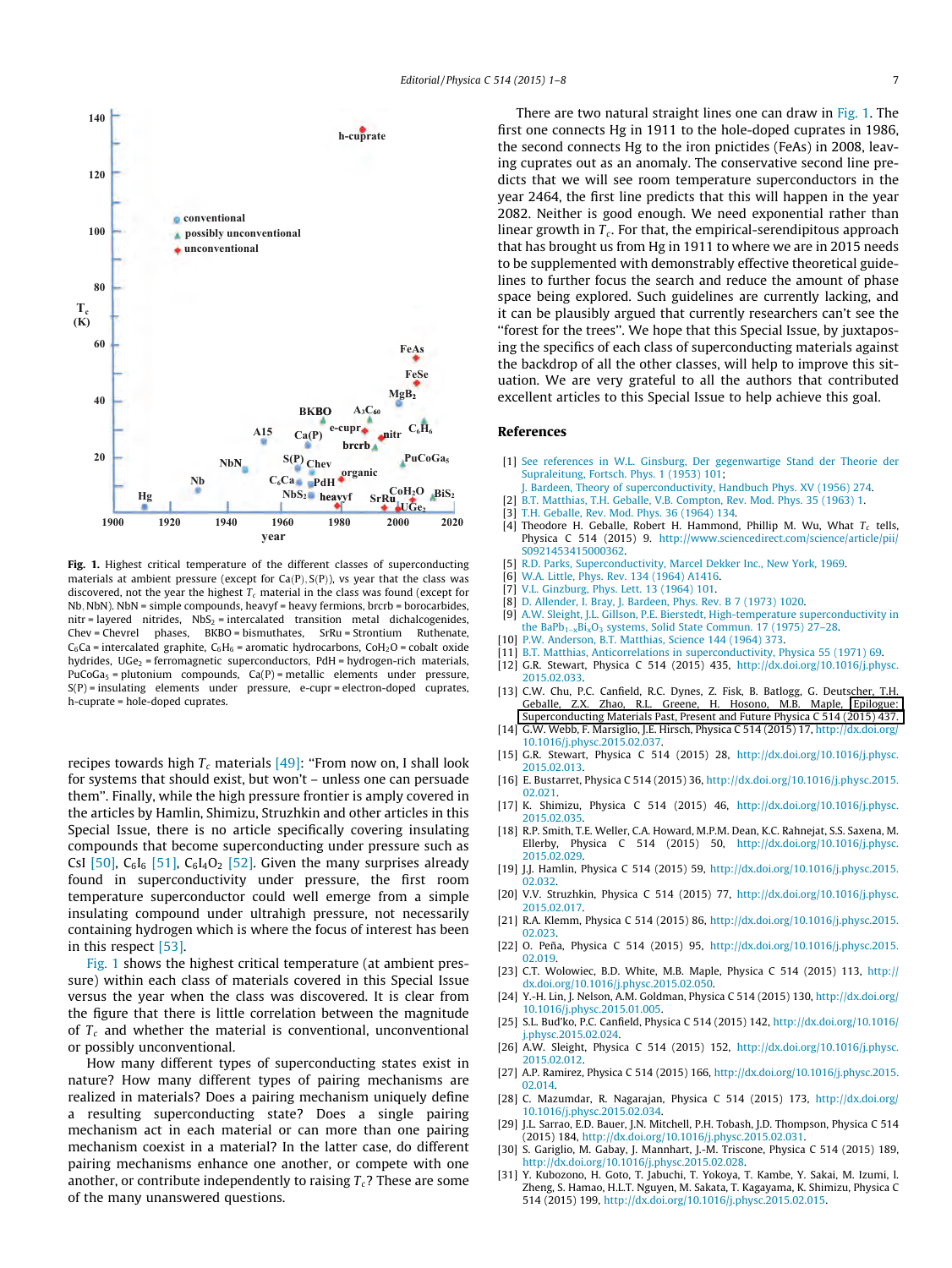<span id="page-6-0"></span>

Fig. 1. Highest critical temperature of the different classes of superconducting materials at ambient pressure (except for  $Ca(P), S(P)$ ), vs year that the class was discovered, not the year the highest  $T_c$  material in the class was found (except for Nb; NbN). NbN = simple compounds, heavyf = heavy fermions, brcrb = borocarbides,  $nitr = layered$  nitrides,  $NbS<sub>2</sub> = intercalated$  transition metal dichalcogenides, Chev = Chevrel phases, BKBO = bismuthates, SrRu = Strontium Ruthenate,  $C_6$ Ca = intercalated graphite,  $C_6H_6$  = aromatic hydrocarbons, CoH<sub>2</sub>O = cobalt oxide hydrides,  $UGe<sub>2</sub>$  = ferromagnetic superconductors, PdH = hydrogen-rich materials, PuCoGa<sub>5</sub> = plutonium compounds,  $Ca(P)$  = metallic elements under pressure, S(P) = insulating elements under pressure, e-cupr = electron-doped cuprates, h-cuprate = hole-doped cuprates.

recipes towards high  $T_c$  materials [\[49\]:](#page-7-0) "From now on, I shall look for systems that should exist, but won't – unless one can persuade them''. Finally, while the high pressure frontier is amply covered in the articles by Hamlin, Shimizu, Struzhkin and other articles in this Special Issue, there is no article specifically covering insulating compounds that become superconducting under pressure such as CsI [\[50\]](#page-7-0), C $_6$ I $_6$  [\[51\],](#page-7-0) C $_6$ I<sub>4</sub>O<sub>2</sub> [\[52\]](#page-7-0). Given the many surprises already found in superconductivity under pressure, the first room temperature superconductor could well emerge from a simple insulating compound under ultrahigh pressure, not necessarily containing hydrogen which is where the focus of interest has been in this respect [\[53\].](#page-7-0)

Fig. 1 shows the highest critical temperature (at ambient pressure) within each class of materials covered in this Special Issue versus the year when the class was discovered. It is clear from the figure that there is little correlation between the magnitude of  $T_c$  and whether the material is conventional, unconventional or possibly unconventional.

How many different types of superconducting states exist in nature? How many different types of pairing mechanisms are realized in materials? Does a pairing mechanism uniquely define a resulting superconducting state? Does a single pairing mechanism act in each material or can more than one pairing mechanism coexist in a material? In the latter case, do different pairing mechanisms enhance one another, or compete with one another, or contribute independently to raising  $T_c$ ? These are some of the many unanswered questions.

There are two natural straight lines one can draw in Fig. 1. The first one connects Hg in 1911 to the hole-doped cuprates in 1986, the second connects Hg to the iron pnictides (FeAs) in 2008, leaving cuprates out as an anomaly. The conservative second line predicts that we will see room temperature superconductors in the year 2464, the first line predicts that this will happen in the year 2082. Neither is good enough. We need exponential rather than linear growth in  $T_c$ . For that, the empirical-serendipitous approach that has brought us from Hg in 1911 to where we are in 2015 needs to be supplemented with demonstrably effective theoretical guidelines to further focus the search and reduce the amount of phase space being explored. Such guidelines are currently lacking, and it can be plausibly argued that currently researchers can't see the ''forest for the trees''. We hope that this Special Issue, by juxtaposing the specifics of each class of superconducting materials against the backdrop of all the other classes, will help to improve this situation. We are very grateful to all the authors that contributed excellent articles to this Special Issue to help achieve this goal.

### References

- [1] [See references in W.L. Ginsburg, Der gegenwartige Stand der Theorie der](http://refhub.elsevier.com/S0921-4534(15)00093-3/h0005) [Supraleitung, Fortsch. Phys. 1 \(1953\) 101;](http://refhub.elsevier.com/S0921-4534(15)00093-3/h0005)
	- [J. Bardeen, Theory of superconductivity, Handbuch Phys. XV \(1956\) 274](http://refhub.elsevier.com/S0921-4534(15)00093-3/h0010).
- [B.T. Matthias, T.H. Geballe, V.B. Compton, Rev. Mod. Phys. 35 \(1963\) 1](http://refhub.elsevier.com/S0921-4534(15)00093-3/h0015).
- [3] [T.H. Geballe, Rev. Mod. Phys. 36 \(1964\) 134.](http://refhub.elsevier.com/S0921-4534(15)00093-3/h0020)
- [4] Theodore H. Geballe, Robert H. Hammond, Phillip M. Wu, What  $T_c$  tells, Physica C 514 (2015) 9. [http://www.sciencedirect.com/science/article/pii/](http://www.sciencedirect.com/science/article/pii/S0921453415000362) [S0921453415000362.](http://www.sciencedirect.com/science/article/pii/S0921453415000362)
- [5] R.D. [Parks, Superconductivity, Marcel Dekker Inc., New York, 1969.](http://refhub.elsevier.com/S0921-4534(15)00093-3/h0030)
- [6] [W.A. Little, Phys. Rev. 134 \(1964\) A1416.](http://refhub.elsevier.com/S0921-4534(15)00093-3/h0035)
- [7] [V.L. Ginzburg, Phys. Lett. 13 \(1964\) 101](http://refhub.elsevier.com/S0921-4534(15)00093-3/h0040).
- [8] [D. Allender, I. Bray, J. Bardeen, Phys. Rev. B 7 \(1973\) 1020](http://refhub.elsevier.com/S0921-4534(15)00093-3/h0045).
- [9] [A.W. Sleight, J.L. Gillson, P.E. Bierstedt, High-temperature superconductivity in](http://refhub.elsevier.com/S0921-4534(15)00093-3/h0050) the BaPb<sub>1-x</sub>Bi<sub>x</sub>O<sub>3</sub> systems, Solid State Commun. 17 (1975) 27-28.
- [10] P.W. [Anderson, B.T. Matthias, Science 144 \(1964\) 373](http://refhub.elsevier.com/S0921-4534(15)00093-3/h0055).
- [11] [B.T. Matthias, Anticorrelations in superconductivity, Physica 55 \(1971\) 69.](http://refhub.elsevier.com/S0921-4534(15)00093-3/h0060)
- [12] G.R. Stewart, Physica C 514 (2015) 435, [http://dx.doi.org/10.1016/j.physc.](http://dx.doi.org/10.1016/j.physc.2015.02.033) [2015.02.033](http://dx.doi.org/10.1016/j.physc.2015.02.033).
- [13] C.W. Chu, P.C. Canfield, R.C. Dynes, Z. Fisk, B. Batlogg, G. Deutscher, T.H. Geballe, Z.X. Zhao, R.L. Greene, H. Hosono, M.B. Maple, [Epilogue:](http://www.sciencedirect.com/science/article/pii/S0921453415000945) [Superconducting Materials Past, Present and Future Physica C 514 \(2015\) 437.](http://www.sciencedirect.com/science/article/pii/S0921453415000945)
- [14] G.W. Webb, F. Marsiglio, J.E. Hirsch, Physica C 514 (2015) 17, [http://dx.doi.org/](http://dx.doi.org/10.1016/j.physc.2015.02.037) [10.1016/j.physc.2015.02.037.](http://dx.doi.org/10.1016/j.physc.2015.02.037)
- [15] G.R. Stewart, Physica C 514 (2015) 28, [http://dx.doi.org/10.1016/j.physc.](http://dx.doi.org/10.1016/j.physc.2015.02.013) [2015.02.013](http://dx.doi.org/10.1016/j.physc.2015.02.013).
- [16] E. Bustarret, Physica C 514 (2015) 36, [http://dx.doi.org/10.1016/j.physc.2015.](http://dx.doi.org/10.1016/j.physc.2015.02.021) [02.021](http://dx.doi.org/10.1016/j.physc.2015.02.021).
- [17] K. Shimizu, Physica C 514 (2015) 46, [http://dx.doi.org/10.1016/j.physc.](http://dx.doi.org/10.1016/j.physc.2015.02.035) [2015.02.035](http://dx.doi.org/10.1016/j.physc.2015.02.035)
- [18] R.P. Smith, T.E. Weller, C.A. Howard, M.P.M. Dean, K.C. Rahnejat, S.S. Saxena, M. Ellerby, Physica C 514 (2015) 50, [http://dx.doi.org/10.1016/j.physc.](http://dx.doi.org/10.1016/j.physc.2015.02.029) [2015.02.029](http://dx.doi.org/10.1016/j.physc.2015.02.029).
- [19] J.J. Hamlin, Physica C 514 (2015) 59, [http://dx.doi.org/10.1016/j.physc.2015.](http://dx.doi.org/10.1016/j.physc.2015.02.032) [02.032.](http://dx.doi.org/10.1016/j.physc.2015.02.032)
- [20] V.V. Struzhkin, Physica C 514 (2015) 77, [http://dx.doi.org/10.1016/j.physc.](http://dx.doi.org/10.1016/j.physc.2015.02.017) [2015.02.017](http://dx.doi.org/10.1016/j.physc.2015.02.017).
- [21] R.A. Klemm, Physica C 514 (2015) 86, [http://dx.doi.org/10.1016/j.physc.2015.](http://dx.doi.org/10.1016/j.physc.2015.02.023) [02.023.](http://dx.doi.org/10.1016/j.physc.2015.02.023)
- [22] O. Peña, Physica C 514 (2015) 95, [http://dx.doi.org/10.1016/j.physc.2015.](http://dx.doi.org/10.1016/j.physc.2015.02.019) [02.019.](http://dx.doi.org/10.1016/j.physc.2015.02.019)
- [23] C.T. Wolowiec, B.D. White, M.B. Maple, Physica C 514 (2015) 113, [http://](http://dx.doi.org/10.1016/j.physc.2015.02.050) [dx.doi.org/10.1016/j.physc.2015.02.050](http://dx.doi.org/10.1016/j.physc.2015.02.050).
- [24] Y.-H. Lin, J. Nelson, A.M. Goldman, Physica C 514 (2015) 130, [http://dx.doi.org/](http://dx.doi.org/10.1016/j.physc.2015.01.005) [10.1016/j.physc.2015.01.005.](http://dx.doi.org/10.1016/j.physc.2015.01.005) [25] S.L. Bud'ko, P.C. Canfield, Physica C 514 (2015) 142, [http://dx.doi.org/10.1016/](http://dx.doi.org/10.1016/j.physc.2015.02.024)
- [j.physc.2015.02.024](http://dx.doi.org/10.1016/j.physc.2015.02.024). [26] A.W. Sleight, Physica C 514 (2015) 152, [http://dx.doi.org/10.1016/j.physc.](http://dx.doi.org/10.1016/j.physc.2015.02.012)
- [2015.02.012](http://dx.doi.org/10.1016/j.physc.2015.02.012). [27] A.P. Ramirez, Physica C 514 (2015) 166, [http://dx.doi.org/10.1016/j.physc.2015.](http://dx.doi.org/10.1016/j.physc.2015.02.014)
- [02.014](http://dx.doi.org/10.1016/j.physc.2015.02.014). [28] C. Mazumdar, R. Nagarajan, Physica C 514 (2015) 173, [http://dx.doi.org/](http://dx.doi.org/10.1016/j.physc.2015.02.034) [10.1016/j.physc.2015.02.034.](http://dx.doi.org/10.1016/j.physc.2015.02.034)
- [29] J.L. Sarrao, E.D. Bauer, J.N. Mitchell, P.H. Tobash, J.D. Thompson, Physica C 514 (2015) 184, <http://dx.doi.org/10.1016/j.physc.2015.02.031>.
- [30] S. Gariglio, M. Gabay, J. Mannhart, J.-M. Triscone, Physica C 514 (2015) 189, [http://dx.doi.org/10.1016/j.physc.2015.02.028.](http://dx.doi.org/10.1016/j.physc.2015.02.028)
- [31] Y. Kubozono, H. Goto, T. Jabuchi, T. Yokoya, T. Kambe, Y. Sakai, M. Izumi, l. Zheng, S. Hamao, H.L.T. Nguyen, M. Sakata, T. Kagayama, K. Shimizu, Physica C 514 (2015) 199, [http://dx.doi.org/10.1016/j.physc.2015.02.015.](http://dx.doi.org/10.1016/j.physc.2015.02.015)